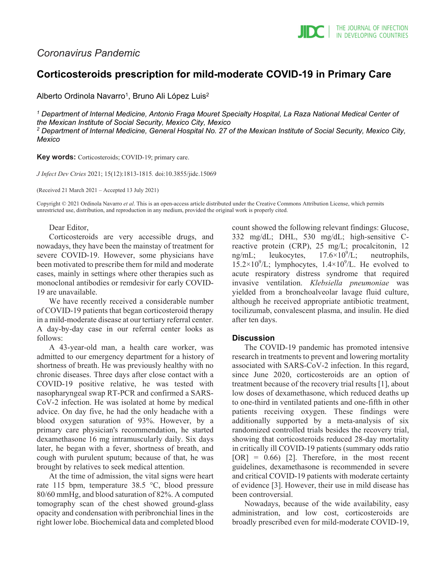# *Coronavirus Pandemic*

# **Corticosteroids prescription for mild-moderate COVID-19 in Primary Care**

Alberto Ordinola Navarro<sup>1</sup>, Bruno Ali López Luis<sup>2</sup>

*<sup>1</sup> Department of Internal Medicine, Antonio Fraga Mouret Specialty Hospital, La Raza National Medical Center of the Mexican Institute of Social Security, Mexico City, Mexico <sup>2</sup> Department of Internal Medicine, General Hospital No. 27 of the Mexican Institute of Social Security, Mexico City, Mexico*

**Key words:** Corticosteroids; COVID-19; primary care.

*J Infect Dev Ctries* 2021; 15(12):1813-1815*.* doi:10.3855/jidc.15069

(Received 21 March 2021 – Accepted 13 July 2021)

Copyright © 2021 Ordinola Navarro *et al*. This is an open-access article distributed under the Creative Commons Attribution License, which permits unrestricted use, distribution, and reproduction in any medium, provided the original work is properly cited.

## Dear Editor,

Corticosteroids are very accessible drugs, and nowadays, they have been the mainstay of treatment for severe COVID-19. However, some physicians have been motivated to prescribe them for mild and moderate cases, mainly in settings where other therapies such as monoclonal antibodies or remdesivir for early COVID-19 are unavailable.

We have recently received a considerable number of COVID-19 patients that began corticosteroid therapy in a mild-moderate disease at our tertiary referral center. A day-by-day case in our referral center looks as follows:

A 43-year-old man, a health care worker, was admitted to our emergency department for a history of shortness of breath. He was previously healthy with no chronic diseases. Three days after close contact with a COVID-19 positive relative, he was tested with nasopharyngeal swap RT-PCR and confirmed a SARS-CoV-2 infection. He was isolated at home by medical advice. On day five, he had the only headache with a blood oxygen saturation of 93%. However, by a primary care physician's recommendation, he started dexamethasone 16 mg intramuscularly daily. Six days later, he began with a fever, shortness of breath, and cough with purulent sputum; because of that, he was brought by relatives to seek medical attention.

At the time of admission, the vital signs were heart rate 115 bpm, temperature 38.5 °C, blood pressure 80/60 mmHg, and blood saturation of 82%. A computed tomography scan of the chest showed ground-glass opacity and condensation with peribronchial lines in the right lower lobe. Biochemical data and completed blood count showed the following relevant findings: Glucose, 332 mg/dL; DHL, 530 mg/dL; high-sensitive Creactive protein (CRP), 25 mg/L; procalcitonin, 12 ng/mL; leukocytes,  $17.6 \times 10^9$ /L; neutrophils,  $15.2 \times 10^9$ /L; lymphocytes,  $1.4 \times 10^9$ /L. He evolved to acute respiratory distress syndrome that required invasive ventilation. *Klebsiella pneumoniae* was yielded from a bronchoalveolar lavage fluid culture, although he received appropriate antibiotic treatment, tocilizumab, convalescent plasma, and insulin. He died after ten days.

## **Discussion**

The COVID-19 pandemic has promoted intensive research in treatments to prevent and lowering mortality associated with SARS-CoV-2 infection. In this regard, since June 2020, corticosteroids are an option of treatment because of the recovery trial results [1], about low doses of dexamethasone, which reduced deaths up to one-third in ventilated patients and one-fifth in other patients receiving oxygen. These findings were additionally supported by a meta-analysis of six randomized controlled trials besides the recovery trial, showing that corticosteroids reduced 28-day mortality in critically ill COVID-19 patients (summary odds ratio  $[OR] = 0.66$  [2]. Therefore, in the most recent guidelines, dexamethasone is recommended in severe and critical COVID-19 patients with moderate certainty of evidence [3]. However, their use in mild disease has been controversial.

Nowadays, because of the wide availability, easy administration, and low cost, corticosteroids are broadly prescribed even for mild-moderate COVID-19,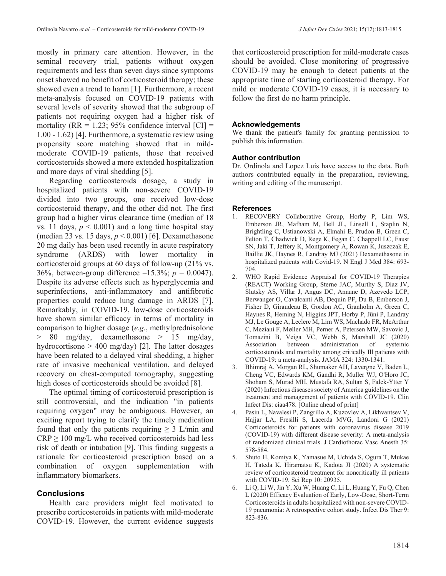mostly in primary care attention. However, in the seminal recovery trial, patients without oxygen requirements and less than seven days since symptoms onset showed no benefit of corticosteroid therapy; these showed even a trend to harm [1]. Furthermore, a recent meta-analysis focused on COVID-19 patients with several levels of severity showed that the subgroup of patients not requiring oxygen had a higher risk of mortality ( $RR = 1.23$ ; 95% confidence interval  $|CI| =$ 1.00 - 1.62) [4]. Furthermore, a systematic review using propensity score matching showed that in mildmoderate COVID-19 patients, those that received corticosteroids showed a more extended hospitalization and more days of viral shedding [5].

Regarding corticosteroids dosage, a study in hospitalized patients with non-severe COVID-19 divided into two groups, one received low-dose corticosteroid therapy, and the other did not. The first group had a higher virus clearance time (median of 18 vs. 11 days,  $p < 0.001$ ) and a long time hospital stay (median 23 vs. 15 days, *p* < 0.001) [6]. Dexamethasone 20 mg daily has been used recently in acute respiratory syndrome (ARDS) with lower mortality in corticosteroid groups at 60 days of follow-up (21% vs. 36%, between-group difference  $-15.3\%$ ;  $p = 0.0047$ ). Despite its adverse effects such as hyperglycemia and superinfections, anti-inflammatory and antifibrotic properties could reduce lung damage in ARDS [7]. Remarkably, in COVID-19, low-dose corticosteroids have shown similar efficacy in terms of mortality in comparison to higher dosage (*e.g.*, methylprednisolone > 80 mg/day, dexamethasone > 15 mg/day, hydrocortisone  $> 400$  mg/day) [2]. The latter dosages have been related to a delayed viral shedding, a higher rate of invasive mechanical ventilation, and delayed recovery on chest-computed tomography, suggesting high doses of corticosteroids should be avoided [8].

The optimal timing of corticosteroid prescription is still controversial, and the indication "in patients requiring oxygen" may be ambiguous. However, an exciting report trying to clarify the timely medication found that only the patients requiring  $\geq$  3 L/min and  $CRP \ge 100$  mg/L who received corticosteroids had less risk of death or intubation [9]. This finding suggests a rationale for corticosteroid prescription based on a combination of oxygen supplementation with inflammatory biomarkers.

# **Conclusions**

Health care providers might feel motivated to prescribe corticosteroids in patients with mild-moderate COVID-19. However, the current evidence suggests that corticosteroid prescription for mild-moderate cases should be avoided. Close monitoring of progressive COVID-19 may be enough to detect patients at the appropriate time of starting corticosteroid therapy. For mild or moderate COVID-19 cases, it is necessary to follow the first do no harm principle.

# **Acknowledgements**

We thank the patient's family for granting permission to publish this information.

# **Author contribution**

Dr. Ordinola and Lopez Luis have access to the data. Both authors contributed equally in the preparation, reviewing, writing and editing of the manuscript.

# **References**

- 1. RECOVERY Collaborative Group, Horby P, Lim WS, Emberson JR, Mafham M, Bell JL, Linsell L, Staplin N, Brightling C, Ustianowski A, Elmahi E, Prudon B, Green C, Felton T, Chadwick D, Rege K, Fegan C, Chappell LC, Faust SN, Jaki T, Jeffery K, Montgomery A, Rowan K, Juszczak E, Baillie JK, Haynes R, Landray MJ (2021) Dexamethasone in hospitalized patients with Covid-19. N Engl J Med 384: 693- 704.
- 2. WHO Rapid Evidence Appraisal for COVID-19 Therapies (REACT) Working Group, Sterne JAC, Murthy S, Diaz JV, Slutsky AS, Villar J, Angus DC, Annane D, Azevedo LCP, Berwanger O, Cavalcanti AB, Dequin PF, Du B, Emberson J, Fisher D, Giraudeau B, Gordon AC, Granholm A, Green C, Haynes R, Heming N, Higgins JPT, Horby P, Jüni P, Landray MJ, Le Gouge A, Leclerc M, Lim WS, Machado FR, McArthur C, Meziani F, Møller MH, Perner A, Petersen MW, Savovic J, Tomazini B, Veiga VC, Webb S, Marshall JC (2020) Association between administration of systemic corticosteroids and mortality among critically Ill patients with COVID-19: a meta-analysis. JAMA 324: 1330-1341.
- 3. Bhimraj A, Morgan RL, Shumaker AH, Lavergne V, Baden L, Cheng VC, Edwards KM, Gandhi R, Muller WJ, O'Horo JC, Shoham S, Murad MH, Mustafa RA, Sultan S, Falck-Ytter Y (2020) Infectious diseases society of America guidelines on the treatment and management of patients with COVID-19. Clin Infect Dis: ciaa478. [Online ahead of print]
- 4. Pasin L, Navalesi P, Zangrillo A, Kuzovlev A, Likhvantsev V, Hajjar LA, Fresilli S, Lacerda MVG, Landoni G (2021) Corticosteroids for patients with coronavirus disease 2019 (COVID-19) with different disease severity: A meta-analysis of randomized clinical trials. J Cardiothorac Vasc Anesth 35: 578-584.
- 5. Shuto H, Komiya K, Yamasue M, Uchida S, Ogura T, Mukae H, Tateda K, Hiramatsu K, Kadota JI (2020) A systematic review of corticosteroid treatment for noncritically ill patients with COVID-19. Sci Rep 10: 20935.
- 6. Li Q, Li W, Jin Y, Xu W, Huang C, Li L, Huang Y, Fu Q, Chen L (2020) Efficacy Evaluation of Early, Low-Dose, Short-Term Corticosteroids in adults hospitalized with non-severe COVID-19 pneumonia: A retrospective cohort study. Infect Dis Ther 9: 823-836.